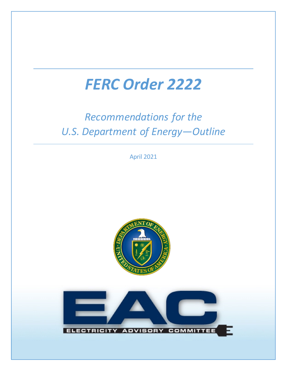# *FERC Order 2222*

## *Recommendations for the U.S. Department of Energy—Outline*

April 2021



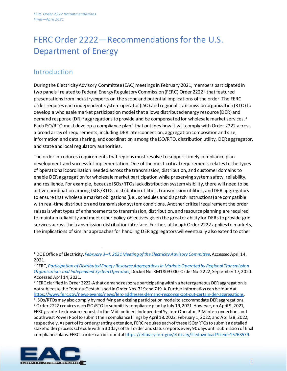### FERC Order 2222—Recommendations for the U.S. Department of Energy

#### Introduction

During the Electricity Advisory Committee (EAC) meetings in February 2021, members participated in two panels<sup>[1](#page-1-0)</sup> related to Federal Energy Regulatory Commission (FERC) Order [2](#page-1-1)222<sup>2</sup> that featured presentations from industry experts on the scope and potential implications of the order. The FERC order requires each independent system operator (ISO) and regional transmission organization (RTO) to develop a wholesale market participation model that allows distributed energy resource (DER) and demand response (DR)<sup>[3](#page-1-2)</sup> aggregations to provide and be compensated for wholesale market services.<sup>[4](#page-1-3)</sup> Each ISO/RTO must develop a compliance plan<sup>[5](#page-1-4)</sup> that outlines how it will comply with Order 2222 across a broad array of requirements, including DER interconnection, aggregation composition and size, information and data sharing, and coordination among the ISO/RTO, distribution utility, DER aggregator, and state and local regulatory authorities.

The order introduces requirements that regions must resolve to support timely compliance plan development and successful implementation. One of the most critical requirements relates to the types of operational coordination needed across the transmission, distribution, and customer domains to enable DER aggregation for wholesale market participation while preserving system safety, reliability, and resilience. For example, because ISOs/RTOs lack distribution systemvisibility, there will need to be active coordination among ISOs/RTOs, distribution utilities, transmission utilities, and DER aggregators to ensure that wholesale market obligations (i.e., schedules and dispatch instructions) are compatible with real-time distribution and transmission system conditions. Another critical requirement the order raises is what types of enhancements to transmission, distribution, and resource planning are required to maintain reliability and meet other policy objectives given the greater ability for DERs to provide grid services across the transmission-distribution interface. Further, although Order 2222 applies to markets, the implications of similar approaches for handling DER aggregators will eventually also extend to other

<span id="page-1-4"></span><span id="page-1-3"></span><span id="page-1-2"></span><sup>5</sup> Order 2222 requires each ISO/RTO to submit its compliance plan by July 19, 2021. However, on April 9, 2021, FERC granted extension requests to the Midcontinent Independent System Operator, PJM Interconnection, and Southwest Power Pool to submit their compliance filings by April 18, 2022; February 1, 2022; and April 28, 2022; respectively.As part of its order granting extension, FERC requires each of these ISOs/RTOs to submit a detailed stakeholder process schedule within 30 days of this order and status reports every 90 days until submission of final compliance plans. FERC's order can be found at https://elibrary.ferc.gov/eLibrary/filedownload?fileid=15763579.



<span id="page-1-0"></span><sup>1</sup> DOEOffice of Electricity, *[February 3–4, 2021 Meeting of the Electricity Advisory Committee](https://www.energy.gov/oe/february-3-4-2021-meeting-electricity-advisory-committee)*. Accessed April 14, 2021.

<span id="page-1-1"></span><sup>2</sup> FERC, *[Participation of Distributed Energy Resource Aggregations in Markets Operated by Regional Transmission](https://www.ferc.gov/sites/default/files/2020-09/E-1_0.pdf)  [Organizations and Independent System Operators](https://www.ferc.gov/sites/default/files/2020-09/E-1_0.pdf)*, Docket No. RM1809-000; Order No. 2222, September 17, 2020. Accessed April 14, 2021.

<sup>&</sup>lt;sup>3</sup> FERC clarified in Order 2222-A that demand response participating within a heterogeneous DER aggregation is not subject to the "opt-out" established in Order Nos. 719 and 719-A. Further information can be found at <https://www.ferc.gov/news-events/news/ferc-addresses-demand-response-opt-out-certain-der-aggregations>. 4 ISOs/RTOs may also comply by modifying an existing participation model to accommodate DER aggregations.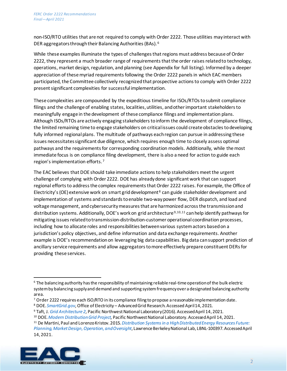non-ISO/RTO utilities that are not required to comply with Order 2222. Those utilities may interact with DER aggregators through their Balancing Authorities(BAs). [6](#page-2-0)

While these examples illuminate the types of challenges that regions must address because of Order 2222, they represent a much broader range of requirements that the order raises related to technology, operations, market design, regulation, and planning (see Appendix for full listing). Informed by a deeper appreciation of these myriad requirements following the Order 2222 panels in which EAC members participated, the Committee collectively recognizedthat prospective actions to comply with Order 2222 present significant complexities for successful implementation.

These complexities are compounded by the expeditious timeline for ISOs/RTOs to submit compliance filings and the challenge of enabling states, localities, utilities, and other important stakeholders to meaningfully engage in the development of these compliance filings and implementation plans. Although ISOs/RTOs are actively engaging stakeholders to inform the development of compliance filings, the limited remaining time to engage stakeholders on critical issues could create obstacles to developing fully informed regional plans. The multitude of pathways each region can pursue in addressing these issues necessitates significant due diligence, which requires enough time to closely assess optimal pathways and the requirements for corresponding coordination models. Additionally, while the most immediate focus is on compliance filing development, there is also a need for action to guide each region's implementation efforts. [7](#page-2-1)

The EAC believes that DOE should take immediate actions to help stakeholders meet the urgent challenge of complying with Order 2222. DOE has already done significant work that can support regional efforts to address the complex requirements that Order 2222 raises. For example, the Office of Electricity's (OE) extensive work on smart grid development<sup>[8](#page-2-2)</sup> can guide stakeholder development and implementation of systems and standards to enable two-way power flow, DER dispatch, and load and voltage management, and cybersecurity measures that are harmonized across the transmission and distribution systems. Additionally, DOE's work on grid architecture<sup>[9](#page-2-3),[10,](#page-2-4)[11](#page-2-5)</sup> can help identify pathways for mitigating issues related to transmission-distribution-customer operational coordination processes, including how to allocate roles and responsibilities between various system actors based on a jurisdiction's policy objectives, and define information and data exchange requirements. Another example is DOE's recommendation on leveraging big data capabilities. Big data can support prediction of ancillary service requirements and allow aggregators to more effectively prepare constituent DERs for providing these services.

<span id="page-2-5"></span><span id="page-2-4"></span><span id="page-2-3"></span><span id="page-2-2"></span><span id="page-2-1"></span><sup>11</sup> De Martini, Paul and Lorenzo Kristov. 2015. *[Distribution Systems in a High Distributed Energy Resources Future:](https://eta-publications.lbl.gov/sites/default/files/lbnl-1003797.pdf)  [Planning, Market Design, Operation, and Oversight](https://eta-publications.lbl.gov/sites/default/files/lbnl-1003797.pdf)*, Lawrence Berkeley National Lab, LBNL-100397.Accessed April 14, 2021.



<span id="page-2-0"></span><sup>6</sup> The balancing authority has the responsibility of maintaining reliable real-time operation of the bulk electric system by balancing supply and demand and supporting system frequency over a designated balancing authority area.

<sup>7</sup> Order 2222 requires each ISO/RTO in its compliance filing to propose a reasonable implementation date.

<sup>8</sup> DOE. *[SmartGrid.gov,](https://smartgrid.gov/)*Office of Electricity – Advanced Grid Research. Accessed April 14, 2021.

<sup>&</sup>lt;sup>9</sup> Taft, J. *Grid Architecture 2, Pacific Northwest National Laboratory (2016).* Accessed April 14, 2021. 10 DOE. *[Modern Distribution Grid Project,](https://gridarchitecture.pnnl.gov/modern-grid-distribution-project.aspx) Pacific Northwest National Laboratory. Accessed April 14, 2021.*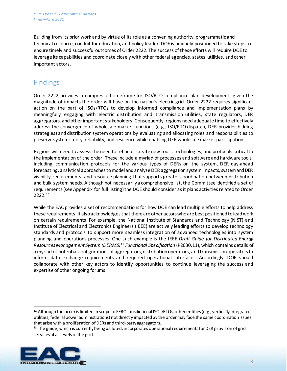Building from its prior work and by virtue of its role as a convening authority, programmatic and technical resource, conduit for education, and policy leader, DOE is uniquely positioned to take steps to ensure timely and successful outcomes of Order 2222. The success of these efforts will require DOE to leverage its capabilities and coordinate closely with other federal agencies, states, utilities, and other important actors.

#### Findings

Order 2222 provides a compressed timeframe for ISO/RTO compliance plan development, given the magnitude of impacts the order will have on the nation's electric grid. Order 2222 requires significant action on the part of ISOs/RTOs to develop informed compliance and implementation plans by meaningfully engaging with electric distribution and transmission utilities, state regulators, DER aggregators, and other important stakeholders. Consequently, regions need adequate time to effectively address the convergence of wholesale market functions (e.g., ISO/RTO dispatch, DER provider bidding strategies) and distribution system operations by evaluating and allocating roles and responsibilities to preserve system safety, reliability, and resilience while enabling DER wholesale market participation.

Regions will need to assess the need to refine or create new tools, technologies, and protocols critical to the implementation of the order. These include a myriad of processes and software and hardware tools, including communication protocols for the various types of DERs on the system, DER day-ahead forecasting, analytical approaches to model and analyze DER aggregation system impacts, system and DER visibility requirements, and resource planning that supports greater coordination between distribution and bulk system needs. Although not necessarily a comprehensive list, the Committee identified a set of requirements(see Appendix for full listing) the DOE should consider as it plans activities related to Order 2222. [12](#page-3-0)

While the EAC provides a set of recommendations for how DOE can lead multiple efforts to help address these requirements, it also acknowledges that there are other actors who are best positioned to lead work on certain requirements. For example, the National Institute of Standards and Technology (NIST) and Institute of Electrical and Electronics Engineers (IEEE) are actively leading efforts to develop technology standards and protocols to support more seamless integration of advanced technologies into system planning and operations processes. One such example is the IEEE *Draft Guide for Distributed Energy Resources Management System (DERMS)[13](#page-3-1) Functional Specification* (P2030.11), which contains details of a myriad of potential configurations of aggregators, distributionoperators, and transmission operators to inform data exchange requirements and required operational interfaces. Accordingly, DOE should collaborate with other key actors to identify opportunities to continue leveraging the success and expertise of other ongoing forums.

<span id="page-3-1"></span><span id="page-3-0"></span><sup>&</sup>lt;sup>13</sup> The guide, which is currently being balloted, incorporates operational requirements for DER provision of grid services at all levels of the grid.



<sup>12</sup> Although the order is limited in scope to FERC-jurisdictional ISOs/RTOs, other entities (e.g., vertically integrated utilities, federal power administrations) not directly impacted by the order may face the same coordination issues that arise with a proliferation of DERs and third-party aggregators.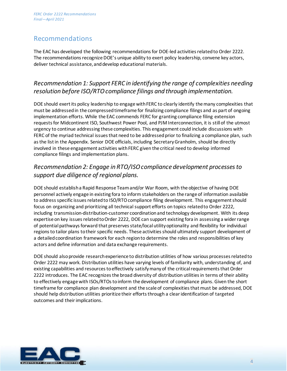#### Recommendations

The EAC has developed the following recommendations for DOE-led activities related to Order 2222. The recommendations recognize DOE's unique ability to exert policy leadership, convene key actors, deliver technical assistance, and develop educational materials.

#### *Recommendation 1: Support FERC in identifying the range of complexities needing resolution before ISO/RTO compliance filings and through implementation.*

DOE should exert its policy leadership to engage with FERC to clearly identify the many complexities that must be addressedin the compressed timeframe for finalizing compliance filings and as part of ongoing implementation efforts. While the EAC commends FERC for granting compliance filing extension requests for Midcontinent ISO, Southwest Power Pool, and PJM Interconnection, it is still of the utmost urgency to continue addressing these complexities. This engagement could include discussions with FERC of the myriad technical issues that need to be addressed prior to finalizing a compliance plan, such as the list in the Appendix. Senior DOE officials, including Secretary Granholm, should be directly involved in these engagement activities with FERC given the critical need to develop informed compliance filings and implementation plans.

#### *Recommendation 2: Engage in RTO/ISO compliance development processes to support due diligence of regional plans.*

DOE should establish a Rapid Response Teamand/or War Room, with the objective of having DOE personnel actively engage in existing fora to inform stakeholders on the range of information available to address specific issues related to ISO/RTO compliance filing development. This engagement should focus on organizing and prioritizing all technical support efforts on topics related to Order 2222, including transmission-distribution-customer coordinationand technology development. With its deep expertise on key issues related to Order 2222, DOE can support existing fora in assessing a wider range of potential pathways forward that preserves state/local utility optionality and flexibility for individual regions to tailor plans to their specific needs. These activities should ultimately support development of a detailed coordination framework for each region to determine the roles and responsibilities of key actors and define information and data exchange requirements.

DOE should also provide research experience to distribution utilities of how various processes related to Order 2222 may work. Distribution utilities have varying levels of familiarity with, understanding of, and existing capabilities and resources to effectively satisfymany of the critical requirementsthat Order 2222 introduces. The EAC recognizes the broad diversity of distribution utilities in terms of their ability to effectively engage with ISOs/RTOs to inform the development of compliance plans. Given the short timeframe for compliance plan development and the scale of complexities that must be addressed, DOE should help distribution utilities prioritize their efforts through a clear identification of targeted outcomes and their implications.

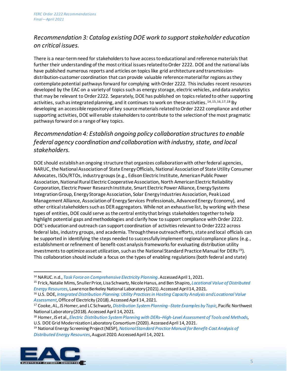#### *Recommendation 3: Catalog existing DOE work to support stakeholder education on critical issues.*

There is a near-term need for stakeholders to have access to educational and reference materials that further their understanding of the most critical issues related to Order 2222. DOE and the national labs have published numerous reports and articles on topics like grid architecture and transmissiondistribution-customer coordination that can provide valuable reference material for regions as they contemplate potential pathways forward for complying with Order 2222. This includes recent resources developed by the EAC on a variety of topics such as energy storage, electric vehicles, and data analytics that may be relevant to Order 2222. Separately, DOE has published on topics related to other supporting activities, such as integrated planning, and it continues to work on these activities. [14](#page-5-0),[15,](#page-5-1)[16](#page-5-2),[17,](#page-5-3)[18](#page-5-4) By developing an accessible repository of key source materials related to Order 2222 compliance and other supporting activities, DOE will enable stakeholders to contribute to the selection of the most pragmatic pathways forward on a range of key topics.

#### *Recommendation 4: Establish ongoing policy collaboration structures to enable federal agency coordination and collaboration with industry, state, and local stakeholders.*

DOE should establish an ongoing structure that organizes collaboration with other federal agencies, NARUC, the National Association of State Energy Officials, National Association of State Utility Consumer Advocates, ISOs/RTOs, industry groups (e.g., Edison Electric Institute, American Public Power Association, National Rural Electric Cooperative Association, North American Electric Reliability Corporation, Electric Power Research Institute, Smart Electric Power Alliance, Energy Systems Integration Group, Energy Storage Association, Solar Energy Industries Association, Peak Load Management Alliance, Association of Energy Services Professionals, Advanced Energy Economy), and other critical stakeholders such as DER aggregators. While not an exhaustive list, by working with these types of entities, DOE could serve as the central entity that brings stakeholders together tohelp highlight potential gaps and methodologies and clarify how to support compliance with Order 2222. DOE's education and outreach can support coordination of activities relevant to Order 2222 across federal labs, industry groups, and academia. Through these outreach efforts, state and local officials can be supported in identifying the steps needed to successfully implement regional compliance plans (e.g., establishment or refinement of benefit-cost analysis frameworks for evaluating distribution utility investments to optimize asset utilization, such as the National Standard Practice Manual for DERs  $^{19}$ ). This collaboration should include a focus on the types of enabling regulations(both federal and state)

<span id="page-5-5"></span><span id="page-5-4"></span><span id="page-5-3"></span><sup>19</sup> National Energy Screening Project (NESP), *[National Standard Practice Manual for Benefit-Cost Analysis of](https://www.nationalenergyscreeningproject.org/wp-content/uploads/2020/08/NSPM-DERs_08-24-2020.pdf)  [Distributed Energy Resources](https://www.nationalenergyscreeningproject.org/wp-content/uploads/2020/08/NSPM-DERs_08-24-2020.pdf)*,August 2020. Accessed April 14, 2021.



<span id="page-5-1"></span><span id="page-5-0"></span><sup>&</sup>lt;sup>14</sup> NARUC. n.d., *Task Force on Comprehensive Electricity Planning*. Accessed April 1, 2021.<br><sup>15</sup> Frick, Natalie Mims, Snuller Price, Lisa Schwartz, Nicole Hanus, and Ben Shapiro, *Locational Value of Distributed [Energy Resources](https://eta-publications.lbl.gov/sites/default/files/lbnl_locational_value_der_2021_02_08.pdf)*, Lawrence Berkeley National Laboratory(2021). Accessed April 14, 2021.

<span id="page-5-2"></span><sup>16</sup> U.S. DOE, *[Integrated Distribution Planning: Utility Practices in Hosting Capacity Analysis and Locational Value](https://static1.squarespace.com/static/5b736be575f9eeb993c4d5f1/t/5b8f4055032be49d0ccfd2bf/1536114780361/ICF+DOE+Utility+IDP+FINAL+July+2018+%28003%29.pdf)  [Assessment](https://static1.squarespace.com/static/5b736be575f9eeb993c4d5f1/t/5b8f4055032be49d0ccfd2bf/1536114780361/ICF+DOE+Utility+IDP+FINAL+July+2018+%28003%29.pdf)*, Office of Electricity (2018). Accessed April 14, 2021.

<sup>17</sup> Cooke, AL, JS Homer, and LC Schwartz,*[Distribution System Planning--State Examples by Topic](https://eta-publications.lbl.gov/sites/default/files/dsp_state_examples.pdf)*, Pacific Northwest National Laboratory(2018).Accessed April 14, 2021.

<sup>18</sup> Homer, JS et al., *[Electric Distribution System Planning with DERs–High-Level Assessment of Tools and Methods,](https://epe.pnnl.gov/pdfs/Electric_Distribution_System_Planning_Tools_PNNL-28138.pdf)* U.S. DOE Grid Modernization Laboratory Consortium(2020).Accessed April 14, 2021.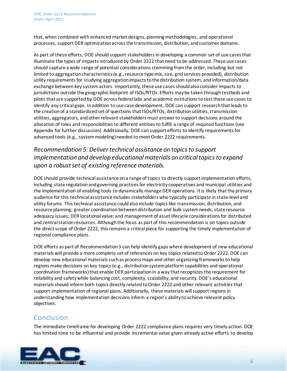that, when combined with enhanced market designs, planning methodologies, and operational processes, support DER optimization across the transmission, distribution, and customer domains.

As part of these efforts, DOE should support stakeholders in developing a common set of use cases that illuminate the types of impacts introduced by Order 2222 that need to be addressed. These use cases should capture a wide range of potential considerations stemming from the order, including but not limited to aggregation characteristics (e.g., resource type mix, size, grid services provided), distribution utility requirements for studying aggregation impacts to the distribution system, and information/data exchange between key system actors. Importantly, these use cases should also consider impacts to jurisdictions outside the geographic footprint of ISOs/RTOs. Efforts may be taken through testbeds and pilots that are supported by DOE across federal labs and academic institutions to test these use cases to identify any critical gaps. In addition to use case development, DOE can support research that leads to the creation of a standardized set of questions that ISOs/RTOs, distribution utilities, transmission utilities, aggregators, and other relevant stakeholders must answer to support decisions around the allocation of roles and responsibilitiesto different entities to fulfill a range of required functions (see Appendix for further discussion). Additionally, DOE can support efforts to identify requirements for advanced tools (e.g., system modeling) needed to meet Order 2222 requirements.

#### *Recommendation 5: Deliver technical assistance on topicsto support implementation and develop educational materials on critical topics to expand upon a robust set of existing reference materials.*

DOE should provide technical assistance on a range of topics to directly support implementation efforts, including state regulation and governing practices for electricity cooperatives and municipal utilities and the implementation of enabling tools to dynamically manage DER operations. It is likely that the primary audience for this technical assistance includes stakeholders who typically participate in state-level and utility forums. This technical assistance could also include topics like transmission, distribution, and resource planning; greater coordination between distribution and bulk system needs; state resource adequacy issues; DER locational value; and management of asset lifecycle considerations for distributed and central station resources. Although the focus as part of this recommendation is on topics outside the direct scope of Order 2222, this remains a critical piece for supporting the timely implementation of regional compliance plans.

DOE efforts as part of Recommendation 3 can help identify gaps where development of new educational materials will provide a more complete set of references on key topics related to Order 2222. DOE can develop new educational materials such as process maps and other organizing frameworks to help regions make decisions on key topics (e.g., distribution system platform capabilities and operational coordination frameworks) that enable DER participation in a way that recognizes the requirement for reliability and safety while balancing cost, complexity, scalability, and security. DOE's educational materials should inform both topics directly related to Order 2222 and other relevant activities that support implementation of regional plans. Additionally, these materials will support regions in understanding how implementation decisions inform a region's ability to achieve relevant policy objectives.

#### **Conclusion**

The immediate timeframe for developing Order 2222 compliance plans requires very timely action. DOE has limited time to be influential and provide incremental value given already active efforts to develop

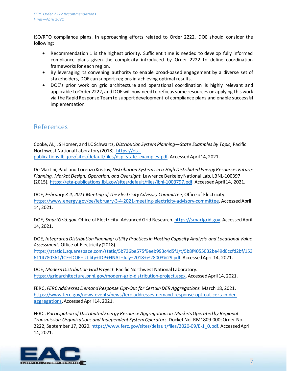ISO/RTO compliance plans. In approaching efforts related to Order 2222, DOE should consider the following:

- Recommendation 1 is the highest priority. Sufficient time is needed to develop fully informed compliance plans given the complexity introduced by Order 2222 to define coordination frameworks for each region.
- By leveraging its convening authority to enable broad-based engagement by a diverse set of stakeholders, DOE can support regions in achieving optimal results.
- DOE's prior work on grid architecture and operational coordination is highly relevant and applicable to Order 2222, and DOE will now need to refocus some resources on applying this work via the Rapid Response Teamto support development of compliance plans and enable successful implementation.

#### References

Cooke, AL, JS Homer, and LC Schwartz, *Distribution System Planning—State Examples by Topic,* Pacific Northwest National Laboratory (2018). [https://eta](https://eta-publications.lbl.gov/sites/default/files/dsp_state_examples.pdf)[publications.lbl.gov/sites/default/files/dsp\\_state\\_examples.pdf.](https://eta-publications.lbl.gov/sites/default/files/dsp_state_examples.pdf) Accessed April 14, 2021.

De Martini, Paul and Lorenzo Kristov, *Distribution Systems in a High Distributed Energy Resources Future: Planning, Market Design, Operation, and Oversight,* Lawrence Berkeley National Lab, LBNL-100397 (2015). [https://eta-publications.lbl.gov/sites/default/files/lbnl-1003797.pdf.](https://eta-publications.lbl.gov/sites/default/files/lbnl-1003797.pdf) Accessed April 14, 2021.

DOE, February 3-4, 2021 Meeting of the Electricity Advisory Committee, Office of Electricity. <https://www.energy.gov/oe/february-3-4-2021-meeting-electricity-advisory-committee>. Accessed April 14, 2021.

DOE, *SmartGrid.gov*. Office of Electricity–Advanced Grid Research. [https://smartgrid.gov.](https://smartgrid.gov/) Accessed April 14, 2021.

DOE, *Integrated Distribution Planning: Utility Practices in Hosting Capacity Analysis and Locational Value Assessment.* Office of Electricity (2018).

[https://static1.squarespace.com/static/5b736be575f9eeb993c4d5f1/t/5b8f4055032be49d0ccfd2bf/153](https://static1.squarespace.com/static/5b736be575f9eeb993c4d5f1/t/5b8f4055032be49d0ccfd2bf/1536114780361/ICF+DOE+Utility+IDP+FINAL+July+2018+%28003%29.pdf) [6114780361/ICF+DOE+Utility+IDP+FINAL+July+2018+%28003%29.pdf.](https://static1.squarespace.com/static/5b736be575f9eeb993c4d5f1/t/5b8f4055032be49d0ccfd2bf/1536114780361/ICF+DOE+Utility+IDP+FINAL+July+2018+%28003%29.pdf) Accessed April 14, 2021.

DOE, *Modern Distribution Grid Project.* Pacific Northwest National Laboratory. <https://gridarchitecture.pnnl.gov/modern-grid-distribution-project.aspx>. Accessed April 14, 2021.

FERC, *FERC Addresses Demand Response Opt-Out for Certain DER Aggregations.* March 18, 2021. [https://www.ferc.gov/news-events/news/ferc-addresses-demand-response-opt-out-certain-der](https://www.ferc.gov/news-events/news/ferc-addresses-demand-response-opt-out-certain-der-aggregations)[aggregations](https://www.ferc.gov/news-events/news/ferc-addresses-demand-response-opt-out-certain-der-aggregations). Accessed April 14, 2021.

FERC, *Participation of Distributed Energy Resource Aggregations in Markets Operated by Regional Transmission Organizations and Independent System Operators.* Docket No. RM1809-000; Order No. 2222, September 17, 2020[. https://www.ferc.gov/sites/default/files/2020-09/E-1\\_0.pdf.](https://www.ferc.gov/sites/default/files/2020-09/E-1_0.pdf) Accessed April 14, 2021.

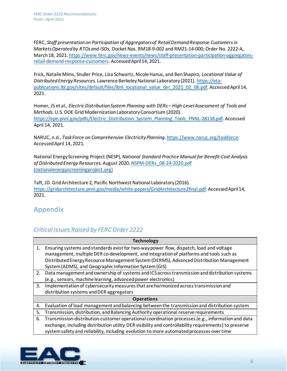FERC, *Staff presentation on Participation of Aggregators of Retail Demand Response Customers in Markets Operated by RTOs and ISOs*, Docket Nos. RM18-9-002 and RM21-14-000; Order No. 2222-A, March 18, 2021[. https://www.ferc.gov/news-events/news/staff-presentation-participation-aggregators](https://www.ferc.gov/news-events/news/staff-presentation-participation-aggregators-retail-demand-response-customers)[retail-demand-response-customers](https://www.ferc.gov/news-events/news/staff-presentation-participation-aggregators-retail-demand-response-customers). Accessed April 14, 2021.

Frick, Natalie Mims, Snuller Price, Lisa Schwartz, Nicole Hanus, and Ben Shapiro, *Locational Value of Distributed Energy Resources.* Lawrence Berkeley National Laboratory (2021). [https://eta](https://eta-publications.lbl.gov/sites/default/files/lbnl_locational_value_der_2021_02_08.pdf)[publications.lbl.gov/sites/default/files/lbnl\\_locational\\_value\\_der\\_2021\\_02\\_08.pdf.](https://eta-publications.lbl.gov/sites/default/files/lbnl_locational_value_der_2021_02_08.pdf) Accessed April 14, 2021.

Homer, JS et al., *Electric Distribution System Planning with DERs – High-Level Assessment of Tools and Methods.* U.S. DOE Grid Modernization Laboratory Consortium (2020). [https://epe.pnnl.gov/pdfs/Electric\\_Distribution\\_System\\_Planning\\_Tools\\_PNNL-28138.pdf.](https://epe.pnnl.gov/pdfs/Electric_Distribution_System_Planning_Tools_PNNL-28138.pdf) Accessed April 14, 2021.

NARUC, n.d., *Task Force on Comprehensive Electricity Planning*[. https://www.naruc.org/taskforce](https://www.naruc.org/taskforce/). Accessed April 14, 2021.

National Energy Screening Project (NESP), *National Standard Practice Manual for Benefit-Cost Analysis of Distributed Energy Resources.* August 2020[. NSPM-DERs\\_08-24-2020.pdf](https://www.nationalenergyscreeningproject.org/wp-content/uploads/2020/08/NSPM-DERs_08-24-2020.pdf)  [\(nationalenergyscreeningproject.org\)](https://www.nationalenergyscreeningproject.org/wp-content/uploads/2020/08/NSPM-DERs_08-24-2020.pdf)

Taft, JD. Grid Architecture 2*,* Pacific Northwest National Laboratory (2016). <https://gridarchitecture.pnnl.gov/media/white-papers/GridArchitecture2final.pdf>. Accessed April 14, 2021.

#### Appendix

#### *Critical Issues Raised by FERC Order 2222*

| <b>Technology</b> |                                                                                                       |  |  |  |
|-------------------|-------------------------------------------------------------------------------------------------------|--|--|--|
| 1.                | Ensuring systems and standards exist for two-way power flow, dispatch, load and voltage               |  |  |  |
|                   | management, multiple DER co-development, and integration of platforms and tools such as               |  |  |  |
|                   | Distributed Energy Resource Management System (DERMS), Advanced Distribution Management               |  |  |  |
|                   | System (ADMS), and Geographic Information System (GIS)                                                |  |  |  |
| 2.                | Data management and ownership of systems and ICS across transmission and distribution systems         |  |  |  |
|                   | (e.g., sensors, machine learning, advanced power electronics)                                         |  |  |  |
| 3.                | Implementation of cybersecurity measures that are harmonized across transmission and                  |  |  |  |
|                   | distribution systems and DER aggregators                                                              |  |  |  |
| <b>Operations</b> |                                                                                                       |  |  |  |
| 4.                | Evaluation of load management and balancing between the transmission and distribution system          |  |  |  |
| 5.                | Transmission, distribution, and Balancing Authority operational reserve requirements                  |  |  |  |
| 6.                | Transmission-distribution-customer operational coordination processes (e.g., information and data     |  |  |  |
|                   | exchange, including distribution utility DER visibility and controllability requirements) to preserve |  |  |  |
|                   | system safety and reliability, including evolution to more automated processes over time              |  |  |  |
|                   |                                                                                                       |  |  |  |

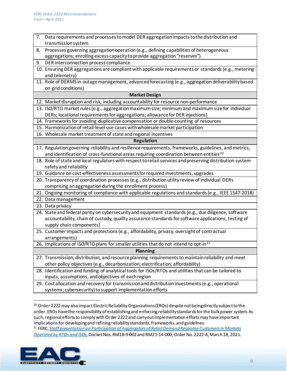| 7.                   | Data requirements and processes to model DER aggregation impacts to the distribution and<br>transmission system         |  |  |  |  |
|----------------------|-------------------------------------------------------------------------------------------------------------------------|--|--|--|--|
| 8.                   | Processes governing aggregation operation (e.g., defining capabilities of heterogeneous                                 |  |  |  |  |
|                      | aggregations; enrolling excess capacity to provide aggregation "reserves")                                              |  |  |  |  |
|                      |                                                                                                                         |  |  |  |  |
| 9.                   | DER interconnection process compliance                                                                                  |  |  |  |  |
|                      | 10. Ensuring DER aggregations are compliant with applicable requirements or standards (e.g., metering<br>and telemetry) |  |  |  |  |
|                      | 11. Role of DERMS in outage management, advanced forecasting (e.g., aggregation deliverability based                    |  |  |  |  |
|                      | on grid conditions)                                                                                                     |  |  |  |  |
| <b>Market Design</b> |                                                                                                                         |  |  |  |  |
|                      | 12. Market disruption and risk, including accountability for resource non-performance                                   |  |  |  |  |
|                      | 13. ISO/RTO market rules (e.g., aggregation maximum size; minimum and maximum size for individual                       |  |  |  |  |
|                      | DERs; locational requirements for aggregations; allowance for DER injections)                                           |  |  |  |  |
|                      | 14. Frameworks for avoiding duplicative compensation or double-counting of resources                                    |  |  |  |  |
|                      | 15. Harmonization of retail-level use cases with wholesale market participation                                         |  |  |  |  |
|                      | 16. Wholesale market treatment of state and regional incentives                                                         |  |  |  |  |
| <b>Regulation</b>    |                                                                                                                         |  |  |  |  |
|                      | 17. Regulation governing reliability and resilience requirements, frameworks, guidelines, and metrics,                  |  |  |  |  |
|                      | and identification of cross-functional areas requiring coordination between entities <sup>20</sup>                      |  |  |  |  |
|                      | 18. Role of state and local regulators with respect to retail services and preserving distribution system               |  |  |  |  |
|                      | safety and reliability                                                                                                  |  |  |  |  |
|                      | 19. Guidance on cost-effectiveness assessments for required investments, upgrades                                       |  |  |  |  |
|                      | 20. Transparency of coordination processes (e.g., distribution utility review of individual DERs                        |  |  |  |  |
|                      | comprising an aggregation during the enrollment process)                                                                |  |  |  |  |
|                      | 21. Ongoing monitoring of compliance with applicable regulations and standards (e.g., IEEE 1547-2018)                   |  |  |  |  |
|                      | 22. Data management                                                                                                     |  |  |  |  |
|                      | 23. Data privacy                                                                                                        |  |  |  |  |
|                      | 24. State and federal parity on cybersecurity and equipment standards (e.g., due diligence, software                    |  |  |  |  |
|                      | accountability, chain of custody, quality assurance standards for software applications, testing of                     |  |  |  |  |
|                      | supply chain components)                                                                                                |  |  |  |  |
|                      | 25. Customer impacts and protections (e.g., affordability, privacy, oversight of contractual                            |  |  |  |  |
|                      | arrangements)                                                                                                           |  |  |  |  |
|                      | 26. Implications of ISO/RTO plans for smaller utilities that do not intend to opt-in <sup>21</sup>                      |  |  |  |  |
| <b>Planning</b>      |                                                                                                                         |  |  |  |  |
|                      | 27. Transmission, distribution, and resource planning requirements to maintain reliability and meet                     |  |  |  |  |
|                      | other policy objectives (e.g., decarbonization; electrification; affordability)                                         |  |  |  |  |
|                      | 28. Identification and funding of analytical tools for ISOs/RTOs and utilities that can be tailored to                  |  |  |  |  |
|                      | inputs, assumptions, and objectives of each region                                                                      |  |  |  |  |
|                      | 29. Cost allocation and recovery for transmission and distribution investments (e.g., operational                       |  |  |  |  |
|                      | systems; cybersecurity) to support implementation efforts                                                               |  |  |  |  |

<sup>20</sup> Order 2222 may also impact Electric Reliability Organizations (EROs) despite not being directly subject to the order. EROs have the responsibility of establishing and enforcing reliability standards for the bulk power system. As such, regional efforts to comply with Order 2222 and carry out implementation efforts may have important implications for developing and refining reliability standards, frameworks, and guidelines.

<span id="page-9-1"></span><span id="page-9-0"></span><sup>21</sup> FERC, *[Staff presentation on Participation of Aggregators of Retail Demand Response Customers in Markets](https://www.ferc.gov/news-events/news/staff-presentation-participation-aggregators-retail-demand-response-customers)  [Operated by RTOs and ISOs](https://www.ferc.gov/news-events/news/staff-presentation-participation-aggregators-retail-demand-response-customers)*, Docket Nos. RM18-9-002and RM21-14-000; Order No. 2222-A, March 18, 2021.

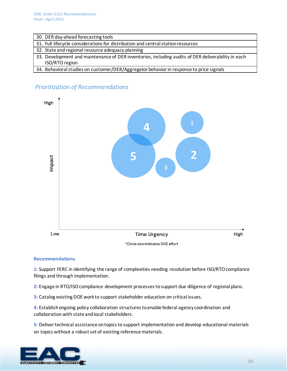|  |  |  | 30. DER day-ahead forecasting tools |
|--|--|--|-------------------------------------|
|--|--|--|-------------------------------------|

31. Full lifecycle considerations for distribution and central station resources

- 32. State and regional resource adequacy planning
- 33. Development and maintenance of DER inventories, including audits of DER deliverability in each ISO/RTO region
- 34. Behavioral studies on customer/DER/Aggregator behavior in response to price signals

#### *Prioritization of Recommendations*



#### **Recommendations**

**1:** Support FERC in identifying the range of complexities needing resolution before ISO/RTO compliance filings and through implementation.

**2:** Engage in RTO/ISO compliance development processes to support due diligence of regional plans.

**3:** Catalog existing DOE work to support stakeholder education on critical issues.

**4:** Establish ongoing policy collaboration structures to enable federal agency coordination and collaboration with state and local stakeholders.

**5:** Deliver technical assistance on topics to support implementation and develop educational materials on topics without a robust set of existing reference materials.

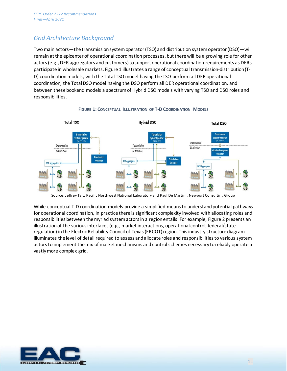#### *Grid Architecture Background*

Two main actors—the transmission system operator (TSO) and distribution system operator (DSO)—will remain at the epicenter of operational coordination processes, but there will be a growing role for other actors (e.g., DER aggregators and customers) to support operational coordination requirements as DERs participate in wholesale markets[. Figure 1](#page-11-0) illustrates a range of conceptual transmission-distribution (T-D) coordination models, with the Total TSO model having the TSO perform all DER operational coordination, the Total DSO model having the DSO perform all DER operational coordination, and between these bookend models a spectrum of Hybrid DSO models with varying TSO and DSO roles and responsibilities.

<span id="page-11-0"></span>

#### **FIGURE 1: CONCEPTUAL ILLUSTRATION OF T-DCOORDINATION MODELS**

Source: Jeffrey Taft, Pacific Northwest National Laboratory and Paul De Martini, Newport Consulting Group

While conceptual T-D coordination models provide a simplified means to understand potential pathways for operational coordination, in practice there is significant complexity involved with allocating roles and responsibilities between the myriad system actors in a region entails. For example[, Figure 2](#page-12-0) presents an illustration of the various interfaces (e.g., market interactions, operational control, federal/state regulation) in the Electric Reliability Council of Texas (ERCOT) region. This industry structure diagram illuminates the level of detail required to assess and allocate roles and responsibilities to various system actors to implement the mix of market mechanisms and control schemes necessary to reliably operate a vastly more complex grid.

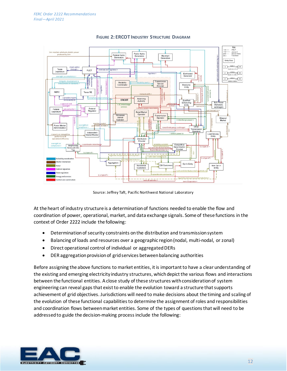<span id="page-12-0"></span>

**FIGURE 2: ERCOT INDUSTRY STRUCTURE DIAGRAM**

Source: Jeffrey Taft, Pacific Northwest National Laboratory

At the heart of industry structure is a determinationof functions needed to enable the flow and coordination of power, operational, market, and data exchange signals. Some of these functions in the context of Order 2222 include the following:

- Determination of security constraints on the distribution and transmission system
- Balancing of loads and resources over a geographic region (nodal, multi-nodal, or zonal)
- Direct operational control of individual or aggregated DERs
- DER aggregation provision of grid services between balancing authorities

Before assigning the above functions to market entities, it is important to have a clear understanding of the existing and emerging electricity industry structures, which depict the various flows and interactions between the functional entities. A close study of these structures with consideration of system engineering can reveal gaps that exist to enable the evolution toward a structure that supports achievement of grid objectives. Jurisdictions will need to make decisions about the timing and scaling of the evolution of these functional capabilities to determine the assignment of roles and responsibilities and coordination flows between market entities. Some of the types of questions that will need to be addressed to guide the decision-making process include the following: